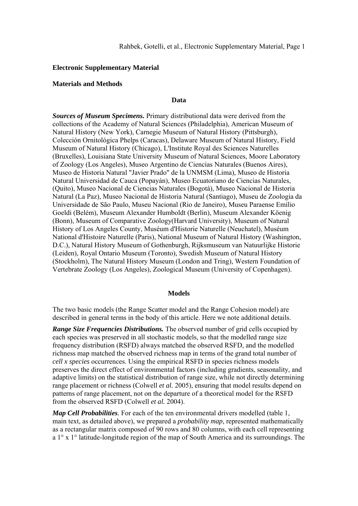### **Electronic Supplementary Material**

## **Materials and Methods**

### **Data**

*Sources of Museum Specimens.* Primary distributional data were derived from the collections of the Academy of Natural Sciences (Philadelphia), American Museum of Natural History (New York), Carnegie Museum of Natural History (Pittsburgh), Colección Ornitológica Phelps (Caracas), Delaware Museum of Natural History, Field Museum of Natural History (Chicago), L'Institute Royal des Sciences Naturelles (Bruxelles), Louisiana State University Museum of Natural Sciences, Moore Laboratory of Zoology (Los Angeles), Museo Argentino de Ciencias Naturales (Buenos Aires), Museo de Historia Natural "Javier Prado" de la UNMSM (Lima), Museo de Historia Natural Universidad de Cauca (Popayán), Museo Ecuatoriano de Ciencias Naturales, (Quito), Museo Nacional de Ciencias Naturales (Bogotá), Museo Nacional de Historia Natural (La Paz), Museo Nacional de Historia Natural (Santiago), Museu de Zoologia da Universidade de São Paulo, Museu Nacional (Rio de Janeiro), Museu Paraense Emílio Goeldi (Belém), Museum Alexander Humboldt (Berlin), Museum Alexander Köenig (Bonn), Museum of Comparative Zoology(Harvard University), Museum of Natural History of Los Angeles County, Muséum d'Historie Naturelle (Neuchatel), Muséum National d'Histoire Naturelle (Paris), National Museum of Natural History (Washington, D.C.), Natural History Museum of Gothenburgh, Rijksmuseum van Natuurlijke Historie (Leiden), Royal Ontario Museum (Toronto), Swedish Museum of Natural History (Stockholm), The Natural History Museum (London and Tring), Western Foundation of Vertebrate Zoology (Los Angeles), Zoological Museum (University of Copenhagen).

#### **Models**

The two basic models (the Range Scatter model and the Range Cohesion model) are described in general terms in the body of this article. Here we note additional details.

*Range Size Frequencies Distributions.* The observed number of grid cells occupied by each species was preserved in all stochastic models, so that the modelled range size frequency distribution (RSFD) always matched the observed RSFD, and the modelled richness map matched the observed richness map in terms of the grand total number of *cell x species* occurrences. Using the empirical RSFD in species richness models preserves the direct effect of environmental factors (including gradients, seasonality, and adaptive limits) on the statistical distribution of range size, while not directly determining range placement or richness (Colwell *et al.* 2005), ensuring that model results depend on patterns of range placement, not on the departure of a theoretical model for the RSFD from the observed RSFD (Colwell *et al.* 2004).

*Map Cell Probabilities.* For each of the ten environmental drivers modelled (table 1, main text, as detailed above), we prepared a *probability map*, represented mathematically as a rectangular matrix composed of 90 rows and 80 columns, with each cell representing a 1° x 1° latitude-longitude region of the map of South America and its surroundings. The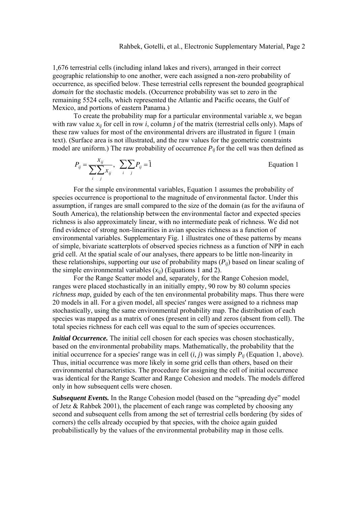1,676 terrestrial cells (including inland lakes and rivers), arranged in their correct geographic relationship to one another, were each assigned a non-zero probability of occurrence, as specified below. These terrestrial cells represent the bounded geographical *domain* for the stochastic models. (Occurrence probability was set to zero in the remaining 5524 cells, which represented the Atlantic and Pacific oceans, the Gulf of Mexico, and portions of eastern Panama.)

To create the probability map for a particular environmental variable  $x$ , we began with raw value  $x_{ij}$  for cell in row *i*, column *j* of the matrix (terrestrial cells only). Maps of these raw values for most of the environmental drivers are illustrated in figure 1 (main text). (Surface area is not illustrated, and the raw values for the geometric constraints model are uniform.) The raw probability of occurrence  $P_{ii}$  for the cell was then defined as

$$
P_{ij} = \frac{x_{ij}}{\sum_{i} \sum_{j} x_{ij}}, \quad \sum_{i} \sum_{j} P_{ij} = \tilde{1}
$$
 Equation 1

For the simple environmental variables, Equation 1 assumes the probability of species occurrence is proportional to the magnitude of environmental factor. Under this assumption, if ranges are small compared to the size of the domain (as for the avifauna of South America), the relationship between the environmental factor and expected species richness is also approximately linear, with no intermediate peak of richness. We did not find evidence of strong non-linearities in avian species richness as a function of environmental variables. Supplementary Fig. 1 illustrates one of these patterns by means of simple, bivariate scatterplots of observed species richness as a function of NPP in each grid cell. At the spatial scale of our analyses, there appears to be little non-linearity in these relationships, supporting our use of probability maps (*Pij*) based on linear scaling of the simple environmental variables  $(x_{ii})$  (Equations 1 and 2).

For the Range Scatter model and, separately, for the Range Cohesion model, ranges were placed stochastically in an initially empty, 90 row by 80 column species *richness map*, guided by each of the ten environmental probability maps. Thus there were 20 models in all. For a given model, all species' ranges were assigned to a richness map stochastically, using the same environmental probability map. The distribution of each species was mapped as a matrix of ones (present in cell) and zeros (absent from cell). The total species richness for each cell was equal to the sum of species occurrences.

*Initial Occurrence*. The initial cell chosen for each species was chosen stochastically, based on the environmental probability maps. Mathematically, the probability that the initial occurrence for a species' range was in cell  $(i, j)$  was simply  $P_{ii}$  (Equation 1, above). Thus, initial occurrence was more likely in some grid cells than others, based on their environmental characteristics. The procedure for assigning the cell of initial occurrence was identical for the Range Scatter and Range Cohesion and models. The models differed only in how subsequent cells were chosen.

**Subsequent Events.** In the Range Cohesion model (based on the "spreading dye" model of Jetz & Rahbek 2001), the placement of each range was completed by choosing any second and subsequent cells from among the set of terrestrial cells bordering (by sides of corners) the cells already occupied by that species, with the choice again guided probabilistically by the values of the environmental probability map in those cells.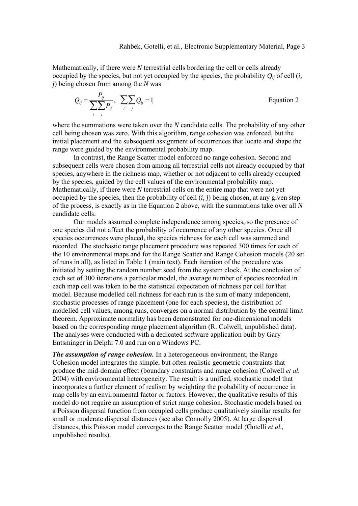Mathematically, if there were *N* terrestrial cells bordering the cell or cells already occupied by the species, but not yet occupied by the species, the probability  $Q_{ii}$  of cell (*i*, *j*) being chosen from among the *N* was

$$
Q_{ij} = \frac{P_{ij}}{\sum_{i} \sum_{j} P_{ij}}, \sum_{i} \sum_{j} Q_{ij} = 1
$$
 Equation 2

where the summations were taken over the *N* candidate cells. The probability of any other cell being chosen was zero. With this algorithm, range cohesion was enforced, but the initial placement and the subsequent assignment of occurrences that locate and shape the range were guided by the environmental probability map.

In contrast, the Range Scatter model enforced no range cohesion. Second and subsequent cells were chosen from among all terrestrial cells not already occupied by that species, anywhere in the richness map, whether or not adjacent to cells already occupied by the species, guided by the cell values of the environmental probability map. Mathematically, if there were *N* terrestrial cells on the entire map that were not yet occupied by the species, then the probability of cell (*i, j*) being chosen, at any given step of the process, is exactly as in the Equation 2 above, with the summations take over all *N* candidate cells.

Our models assumed complete independence among species, so the presence of one species did not affect the probability of occurrence of any other species. Once all species occurrences were placed, the species richness for each cell was summed and recorded. The stochastic range placement procedure was repeated 300 times for each of the 10 environmental maps and for the Range Scatter and Range Cohesion models (20 set of runs in all), as listed in Table 1 (main text). Each iteration of the procedure was initiated by setting the random number seed from the system clock. At the conclusion of each set of 300 iterations a particular model, the average number of species recorded in each map cell was taken to be the statistical expectation of richness per cell for that model. Because modelled cell richness for each run is the sum of many independent, stochastic processes of range placement (one for each species), the distribution of modelled cell values, among runs, converges on a normal distribution by the central limit theorem. Approximate normality has been demonstrated for one-dimensional models based on the corresponding range placement algorithm (R. Colwell, unpublished data). The analyses were conducted with a dedicated software application built by Gary Entsminger in Delphi 7.0 and run on a Windows PC.

*The assumption of range cohesion.* In a heterogeneous environment, the Range Cohesion model integrates the simple, but often realistic geometric constraints that produce the mid-domain effect (boundary constraints and range cohesion (Colwell *et al.* 2004) with environmental heterogeneity. The result is a unified, stochastic model that incorporates a further element of realism by weighting the probability of occurrence in map cells by an environmental factor or factors. However, the qualitative results of this model do not require an assumption of strict range cohesion. Stochastic models based on a Poisson dispersal function from occupied cells produce qualitatively similar results for small or moderate dispersal distances (see also Connolly 2005). At large dispersal distances, this Poisson model converges to the Range Scatter model (Gotelli *et al.,* unpublished results).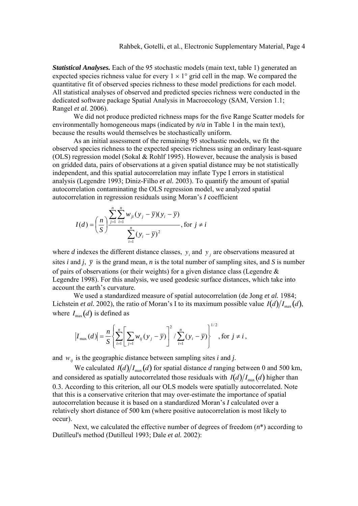*Statistical Analyses.* Each of the 95 stochastic models (main text, table 1) generated an expected species richness value for every  $1 \times 1^{\circ}$  grid cell in the map. We compared the quantitative fit of observed species richness to these model predictions for each model. All statistical analyses of observed and predicted species richness were conducted in the dedicated software package Spatial Analysis in Macroecology (SAM, Version 1.1; Rangel *et al.* 2006).

We did not produce predicted richness maps for the five Range Scatter models for environmentally homogeneous maps (indicated by  $n/a$  in Table 1 in the main text), because the results would themselves be stochastically uniform.

As an initial assessment of the remaining 95 stochastic models, we fit the observed species richness to the expected species richness using an ordinary least-square (OLS) regression model (Sokal & Rohlf 1995). However, because the analysis is based on gridded data, pairs of observations at a given spatial distance may be not statistically independent, and this spatial autocorrelation may inflate Type I errors in statistical analysis (Legendre 1993; Diniz-Filho *et al.* 2003). To quantify the amount of spatial autocorrelation contaminating the OLS regression model, we analyzed spatial autocorrelation in regression residuals using Moran's *I* coefficient

$$
I(d) = \left(\frac{n}{S}\right)^{\sum_{j=1}^{n} \sum_{i=1}^{n} w_{ji} (y_j - \overline{y})(y_i - \overline{y})}{\sum_{i=1}^{n} (y_i - \overline{y})^2}, \text{ for } j \neq i
$$

where *d* indexes the different distance classes,  $y_i$  and  $y_j$  are observations measured at sites *i* and *j*,  $\bar{y}$  is the grand mean, *n* is the total number of sampling sites, and *S* is number of pairs of observations (or their weights) for a given distance class (Legendre & Legendre 1998). For this analysis, we used geodesic surface distances, which take into account the earth's curvature.

We used a standardized measure of spatial autocorrelation (de Jong *et al.* 1984; Lichstein *et al.* 2002), the ratio of Moran's I to its maximum possible value  $I(d)/I_{max}(d)$ , where  $I_{\text{max}}(d)$  is defined as

$$
|I_{\max}(d)| = \frac{n}{S} \left\{ \sum_{i=1}^{n} \left[ \sum_{j=1}^{n} w_{ij} (y_j - \overline{y}) \right]^2 / \sum_{i=1}^{n} (y_i - \overline{y}) \right\}^{1/2}, \text{ for } j \neq i,
$$

and  $w_{ij}$  is the geographic distance between sampling sites *i* and *j*.

We calculated  $I(d)/I_{\text{max}}(d)$  for spatial distance *d* ranging between 0 and 500 km, and considered as spatially autocorrelated those residuals with  $I(d)/I_{\text{max}}(d)$  higher than 0.3. According to this criterion, all our OLS models were spatially autocorrelated. Note that this is a conservative criterion that may over-estimate the importance of spatial autocorrelation because it is based on a standardized Moran's *I* calculated over a relatively short distance of 500 km (where positive autocorrelation is most likely to occur).

Next, we calculated the effective number of degrees of freedom (*n*\*) according to Dutilleul's method (Dutilleul 1993; Dale *et al.* 2002):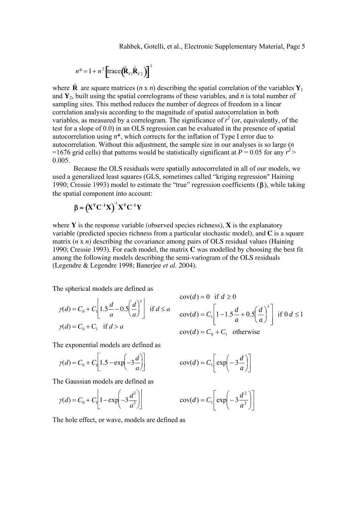Rahbek, Gotelli, et al., Electronic Supplementary Material, Page 5

$$
n^* = 1 + n^2 \left[ \text{trace} \left( \hat{\mathbf{R}}_{Y1} \hat{\mathbf{R}}_{Y2} \right) \right]^T
$$

where  $\hat{\mathbf{R}}$  are square matrices (*n* x *n*) describing the spatial correlation of the variables  $\mathbf{Y}_1$ and  $Y_2$ , built using the spatial correlograms of these variables, and *n* is total number of sampling sites. This method reduces the number of degrees of freedom in a linear correlation analysis according to the magnitude of spatial autocorrelation in both variables, as measured by a correlogram. The significance of  $r^2$  (or, equivalently, of the test for a slope of 0.0) in an OLS regression can be evaluated in the presence of spatial autocorrelation using *n*\*, which corrects for the inflation of Type I error due to autocorrelation. Without this adjustment, the sample size in our analyses is so large (*n* =1676 grid cells) that patterns would be statistically significant at  $P = 0.05$  for any  $r^2$ 0.005.

Because the OLS residuals were spatially autocorrelated in all of our models, we used a generalized least squares (GLS, sometimes called "kriging regression" Haining 1990; Cressie 1993) model to estimate the "true" regression coefficients (β), while taking the spatial component into account:

$$
\boldsymbol{\beta} = (\mathbf{X}^{\mathrm{T}} \mathbf{C}^{-1} \mathbf{X})^{\mathrm{T}} \mathbf{X}^{\mathrm{T}} \mathbf{C}^{-1} \mathbf{Y}
$$

where  $Y$  is the response variable (observed species richness),  $X$  is the explanatory variable (predicted species richness from a particular stochastic model), and **C** is a square matrix (*n* x *n*) describing the covariance among pairs of OLS residual values (Haining 1990; Cressie 1993). For each model, the matrix **C** was modelled by choosing the best fit among the following models describing the semi-variogram of the OLS residuals (Legendre & Legendre 1998; Banerjee *et al.* 2004).

The spherical models are defined as

$$
\gamma(d) = C_0 + C_1 \left[ 1.5 \frac{d}{a} - 0.5 \left( \frac{d}{a} \right)^3 \right] \text{ if } d \le a
$$
  

$$
\gamma(d) = C_0 + C_1 \text{ if } d > a
$$

$$
cov(d) = 0 \text{ if } d \ge 0
$$
  
\n
$$
cov(d) = C_1 \left[ 1 - 1.5 \frac{d}{a} + 0.5 \left( \frac{d}{a} \right)^3 \right] \text{ if } 0 \text{ } d \le 1
$$
  
\n
$$
cov(d) = C_0 + C_1 \text{ otherwise}
$$

The exponential models are defined as

$$
\gamma(d) = C_0 + C_1 \left[ 1.5 - \exp\left(-3\frac{d}{a}\right) \right]
$$

The Gaussian models are defined as

$$
\gamma(d) = C_0 + C_1 \left[ 1 - \exp\left(-3\frac{d^2}{a^2}\right) \right]
$$

$$
\text{cov}(d) = C_1 \left[ \exp\left(-3\frac{d}{a}\right) \right]
$$

$$
\cos(d) = C_1 \left[ \exp\left(-3\frac{d^2}{a^2}\right) \right]
$$

The hole effect, or wave, models are defined as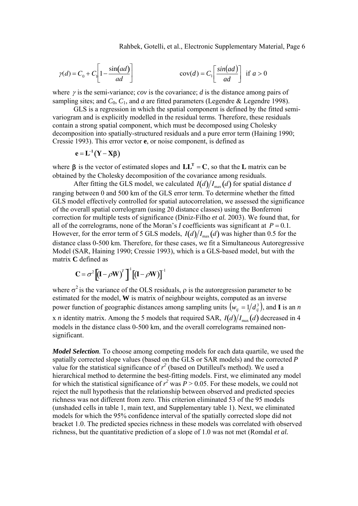Rahbek, Gotelli, et al., Electronic Supplementary Material, Page 6

$$
\gamma(d) = C_0 + C_1 \left[ 1 - \frac{\sin(ad)}{ad} \right] \qquad \qquad \text{cov}(d) = C_1 \left[ \frac{\sin(ad)}{ad} \right] \text{ if } a > 0
$$

where γ is the semi-variance; *cov* is the covariance; *d* is the distance among pairs of sampling sites; and  $C_0$ ,  $C_1$ , and *a* are fitted parameters (Legendre & Legendre 1998).

GLS is a regression in which the spatial component is defined by the fitted semivariogram and is explicitly modelled in the residual terms. Therefore, these residuals contain a strong spatial component, which must be decomposed using Cholesky decomposition into spatially-structured residuals and a pure error term (Haining 1990; Cressie 1993). This error vector **e**, or noise component, is defined as

$$
e = L^{-1}(Y - X\beta)
$$

where  $\beta$  is the vector of estimated slopes and  $LL^T = C$ , so that the L matrix can be obtained by the Cholesky decomposition of the covariance among residuals.

After fitting the GLS model, we calculated  $I(d)/I_{\text{max}}(d)$  for spatial distance *d* ranging between 0 and 500 km of the GLS error term. To determine whether the fitted GLS model effectively controlled for spatial autocorrelation, we assessed the significance of the overall spatial correlogram (using 20 distance classes) using the Bonferroni correction for multiple tests of significance (Diniz-Filho *et al.* 2003). We found that, for all of the correlograms, none of the Moran's *I* coefficients was significant at  $P = 0.1$ . However, for the error term of 5 GLS models,  $I(d)/I_{\text{max}}(d)$  was higher than 0.5 for the distance class 0-500 km. Therefore, for these cases, we fit a Simultaneous Autoregressive Model (SAR, Haining 1990; Cressie 1993), which is a GLS-based model, but with the matrix **C** defined as

$$
C = \sigma^2 \left[ \left( I - \rho W \right)^T \right]^{-1} \left[ \left( I - \rho W \right) \right]^{-1}
$$

where  $\sigma^2$  is the variance of the OLS residuals,  $\rho$  is the autoregression parameter to be estimated for the model, **W** is matrix of neighbour weights, computed as an inverse power function of geographic distances among sampling units  $(w_{ij} = 1/d_{ij}^3)$ , and **I** is an *n* x *n* identity matrix. Among the 5 models that required SAR,  $I(d)/I_{max}(d)$  decreased in 4 models in the distance class 0-500 km, and the overall correlograms remained nonsignificant.

*Model Selection.* To choose among competing models for each data quartile, we used the spatially corrected slope values (based on the GLS or SAR models) and the corrected *P* value for the statistical significance of  $r^2$  (based on Dutilleul's method). We used a hierarchical method to determine the best-fitting models. First, we eliminated any model for which the statistical significance of  $r^2$  was  $P > 0.05$ . For these models, we could not reject the null hypothesis that the relationship between observed and predicted species richness was not different from zero. This criterion eliminated 53 of the 95 models (unshaded cells in table 1, main text, and Supplementary table 1). Next, we eliminated models for which the 95% confidence interval of the spatially corrected slope did not bracket 1.0. The predicted species richness in these models was correlated with observed richness, but the quantitative prediction of a slope of 1.0 was not met (Romdal *et al.*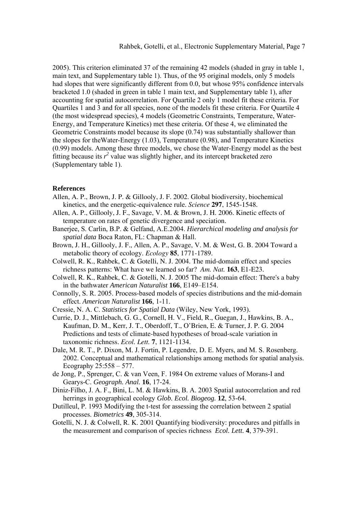2005). This criterion eliminated 37 of the remaining 42 models (shaded in gray in table 1, main text, and Supplementary table 1). Thus, of the 95 original models, only 5 models had slopes that were significantly different from 0.0, but whose 95% confidence intervals bracketed 1.0 (shaded in green in table 1 main text, and Supplementary table 1), after accounting for spatial autocorrelation. For Quartile 2 only 1 model fit these criteria. For Quartiles 1 and 3 and for all species, none of the models fit these criteria. For Quartile 4 (the most widespread species), 4 models (Geometric Constraints, Temperature, Water-Energy, and Temperature Kinetics) met these criteria. Of these 4, we eliminated the Geometric Constraints model because its slope (0.74) was substantially shallower than the slopes for theWater-Energy (1.03), Temperature (0.98), and Temperature Kinetics (0.99) models. Among these three models, we chose the Water-Energy model as the best fitting because its  $r^2$  value was slightly higher, and its intercept bracketed zero (Supplementary table 1).

#### **References**

- Allen, A. P., Brown, J. P. & Gillooly, J. F. 2002. Global biodiversity, biochemical kinetics, and the energetic-equivalence rule. *Science* **297**, 1545-1548.
- Allen, A. P., Gillooly, J. F., Savage, V. M. & Brown, J. H. 2006. Kinetic effects of temperature on rates of genetic divergence and speciation.
- Banerjee, S. Carlin, B.P. & Gelfand, A.E.2004. *Hierarchical modeling and analysis for spatial data* Boca Raton, FL: Chapman & Hall.
- Brown, J. H., Gillooly, J. F., Allen, A. P., Savage, V. M. & West, G. B. 2004 Toward a metabolic theory of ecology. *Ecology* **85**, 1771-1789.
- Colwell, R. K., Rahbek, C. & Gotelli, N. J. 2004. The mid-domain effect and species richness patterns: What have we learned so far? *Am. Nat.* **163**, E1-E23.
- Colwell, R. K., Rahbek, C. & Gotelli, N. J. 2005 The mid-domain effect: There's a baby in the bathwater *American Naturalist* **166**, E149–E154.
- Connolly, S. R. 2005. Process-based models of species distributions and the mid-domain effect. *American Naturalist* **166**, 1-11.
- Cressie, N. A. C. *Statistics for Spatial Data* (Wiley, New York, 1993).
- Currie, D. J., Mittlebach, G. G., Cornell, H. V., Field, R., Guegan, J., Hawkins, B. A., Kaufman, D. M., Kerr, J. T., Oberdoff, T., O'Brien, E. & Turner, J. P. G. 2004 Predictions and tests of climate-based hypotheses of broad-scale variation in taxonomic richness. *Ecol. Lett.* **7**, 1121-1134.
- Dale, M. R. T., P. Dixon, M. J. Fortin, P. Legendre, D. E. Myers, and M. S. Rosenberg. 2002. Conceptual and mathematical relationships among methods for spatial analysis. Ecography 25:558 – 577.
- de Jong, P., Sprenger, C. & van Veen, F. 1984 On extreme values of Morans-I and Gearys-C. *Geograph. Anal.* **16**, 17-24.
- Diniz-Filho, J. A. F., Bini, L. M. & Hawkins, B. A. 2003 Spatial autocorrelation and red herrings in geographical ecology *Glob. Ecol. Biogeog.* **12**, 53-64.
- Dutilleul, P. 1993 Modifying the t-test for assessing the correlation between 2 spatial processes. *Biometrics* **49**, 305-314.
- Gotelli, N. J. & Colwell, R. K. 2001 Quantifying biodiversity: procedures and pitfalls in the measurement and comparison of species richness *Ecol. Lett.* **4**, 379-391.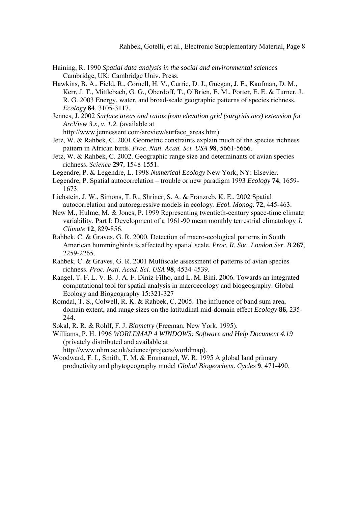- Haining, R. 1990 *Spatial data analysis in the social and environmental sciences*  Cambridge, UK: Cambridge Univ. Press.
- Hawkins, B. A., Field, R., Cornell, H. V., Currie, D. J., Guegan, J. F., Kaufman, D. M., Kerr, J. T., Mittlebach, G. G., Oberdoff, T., O'Brien, E. M., Porter, E. E. & Turner, J. R. G. 2003 Energy, water, and broad-scale geographic patterns of species richness. *Ecology* **84**, 3105-3117.
- Jennes, J. 2002 *Surface areas and ratios from elevation grid (surgrids.avx) extension for ArcView 3.x, v. 1.2.* (available at

http://www.jennessent.com/arcview/surface\_areas.htm).

- Jetz, W. & Rahbek, C. 2001 Geometric constraints explain much of the species richness pattern in African birds. *Proc. Natl. Acad. Sci. USA* **98**, 5661-5666.
- Jetz, W. & Rahbek, C. 2002. Geographic range size and determinants of avian species richness. *Science* **297**, 1548-1551.

Legendre, P. & Legendre, L. 1998 *Numerical Ecology* New York, NY: Elsevier.

- Legendre, P. Spatial autocorrelation trouble or new paradigm 1993 *Ecology* **74**, 1659- 1673.
- Lichstein, J. W., Simons, T. R., Shriner, S. A. & Franzreb, K. E., 2002 Spatial autocorrelation and autoregressive models in ecology. *Ecol. Monog.* **72**, 445-463.
- New M., Hulme, M. & Jones, P. 1999 Representing twentieth-century space-time climate variability. Part I: Development of a 1961-90 mean monthly terrestrial climatology *J. Climate* **12**, 829-856.
- Rahbek, C. & Graves, G. R. 2000. Detection of macro-ecological patterns in South American hummingbirds is affected by spatial scale. *Proc. R. Soc. London Ser. B* **267**, 2259-2265.
- Rahbek, C. & Graves, G. R. 2001 Multiscale assessment of patterns of avian species richness. *Proc. Natl. Acad. Sci. USA* **98**, 4534-4539.
- Rangel, T. F. L. V. B. J. A. F. Diniz-Filho, and L. M. Bini. 2006. Towards an integrated computational tool for spatial analysis in macroecology and biogeography. Global Ecology and Biogeography 15:321-327
- Romdal, T. S., Colwell, R. K. & Rahbek, C. 2005. The influence of band sum area, domain extent, and range sizes on the latitudinal mid-domain effect *Ecology* **86**, 235- 244.

Sokal, R. R. & Rohlf, F. J. *Biometry* (Freeman, New York, 1995).

Williams, P. H. 1996 *WORLDMAP 4 WINDOWS: Software and Help Document 4.19* (privately distributed and available at

http://www.nhm.ac.uk/science/projects/worldmap).

Woodward, F. I., Smith, T. M. & Emmanuel, W. R. 1995 A global land primary productivity and phytogeography model *Global Biogeochem. Cycles* **9**, 471-490.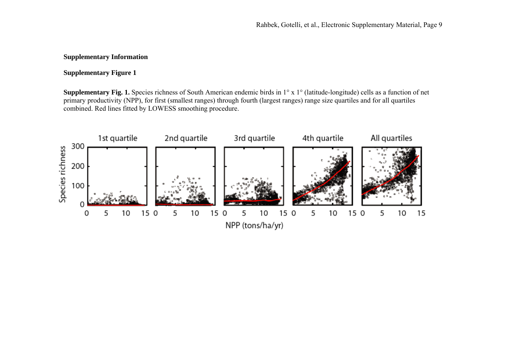# **Supplementary Information**

## **Supplementary Figure 1**

**Supplementary Fig. 1.** Species richness of South American endemic birds in 1° x 1° (latitude-longitude) cells as a function of net primary productivity (NPP), for first (smallest ranges) through fourth (largest ranges) range size quartiles and for all quartiles combined. Red lines fitted by LOWESS smoothing procedure.

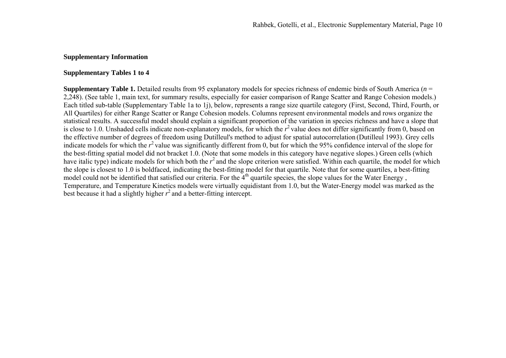## **Supplementary Information**

## **Supplementary Tables 1 to 4**

**Supplementary Table 1.** Detailed results from 95 explanatory models for species richness of endemic birds of South America ( *n* = 2,248). (See table 1, main text, for summary results, especially for easier comparison of Range Scatter and Range Cohesion models.) Each titled sub-table (Supplementary Table 1a to 1j), below, represents a range size quartile category (First, Second, Third, Fourth, or All Quartiles) for either Range Scatter or Range Cohesion models. Columns represent environmental models and rows organize the statistical results. A successful model should explain a significant proportion of the variation in species richness and have a slope that is close to 1.0. Unshaded cells indicate non-explanatory models, for which the  $r^2$  value does not differ significantly from 0, based on the effective number of degrees of freedom using Dutilleul's method to adjust for spatial autocorrelation (Dutilleul 1993). Grey cells indicate models for which the  $r^2$  value was significantly different from 0, but for which the 95% confidence interval of the slope for the best-fitting spatial model did not bracket 1.0. (Note that some models in this category have negative slopes.) Green cells (which have italic type) indicate models for which both the  $r^2$  and the slope criterion were satisfied. Within each quartile, the model for which the slope is closest to 1.0 is boldfaced, indicating the best-fitting model for that quartile. Note that for some quartiles, a best-fitting model could not be identified that satisfied our criteria. For the  $4<sup>th</sup>$  quartile species, the slope values for the Water Energy, Temperature, and Temperature Kinetics models were virtually equidistant from 1.0, but the Water-Energy model was marked as the best because it had a slightly higher  $r^2$  and a better-fitting intercept.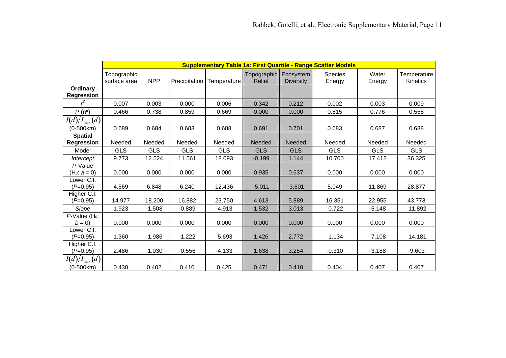|                                        |                             | <b>Supplementary Table 1a: First Quartile - Range Scatter Models</b> |               |             |                                          |                  |                          |                 |                         |  |  |  |  |
|----------------------------------------|-----------------------------|----------------------------------------------------------------------|---------------|-------------|------------------------------------------|------------------|--------------------------|-----------------|-------------------------|--|--|--|--|
|                                        | Topographic<br>surface area | <b>NPP</b>                                                           | Precipitation | Temperature | Topographic   Ecosystem<br><b>Relief</b> | <b>Diversity</b> | <b>Species</b><br>Energy | Water<br>Energy | Temperature<br>Kinetics |  |  |  |  |
| Ordinary<br>Regression                 |                             |                                                                      |               |             |                                          |                  |                          |                 |                         |  |  |  |  |
|                                        | 0.007                       | 0.003                                                                | 0.000         | 0.006       | 0.342                                    | 0.212            | 0.002                    | 0.003           | 0.009                   |  |  |  |  |
| $P(n^*)$                               | 0.466                       | 0.738                                                                | 0.859         | 0.669       | 0.000                                    | 0.000            | 0.815                    | 0.776           | 0.558                   |  |  |  |  |
| $I(d)/I_{\max}(d)$<br>$(0-500km)$      | 0.689                       | 0.684                                                                | 0.683         | 0.688       | 0.691                                    | 0.701            | 0.683                    | 0.687           | 0.688                   |  |  |  |  |
| <b>Spatial</b><br>Regression           | Needed                      | Needed                                                               | Needed        | Needed      | Needed                                   | Needed           | Needed                   | Needed          | Needed                  |  |  |  |  |
| Model                                  | <b>GLS</b>                  | <b>GLS</b>                                                           | <b>GLS</b>    | <b>GLS</b>  | <b>GLS</b>                               | <b>GLS</b>       | <b>GLS</b>               | <b>GLS</b>      | <b>GLS</b>              |  |  |  |  |
| Intercept                              | 9.773                       | 12.524                                                               | 11.561        | 18.093      | $-0.199$                                 | 1.144            | 10.700                   | 17.412          | 36.325                  |  |  |  |  |
| P-Value<br>(H <sub>0</sub> : $a = 0$ ) | 0.000                       | 0.000                                                                | 0.000         | 0.000       | 0.935                                    | 0.637            | 0.000                    | 0.000           | 0.000                   |  |  |  |  |
| _ower C.I.<br>$(P=0.95)$               | 4.569                       | 6.848                                                                | 6.240         | 12.436      | $-5.011$                                 | $-3.601$         | 5.049                    | 11.869          | 28.877                  |  |  |  |  |
| Higher C.I.<br>$(P=0.95)$              | 14.977                      | 18.200                                                               | 16.882        | 23.750      | 4.613                                    | 5.889            | 16.351                   | 22.955          | 43.773                  |  |  |  |  |
| Slope                                  | 1.923                       | $-1.508$                                                             | $-0.889$      | $-4.913$    | 1.532                                    | 3.013            | $-0.722$                 | $-5.148$        | $-11.892$               |  |  |  |  |
| P-Value (H <sub>0</sub> :<br>$b = 0$   | 0.000                       | 0.000                                                                | 0.000         | 0.000       | 0.000                                    | 0.000            | 0.000                    | 0.000           | 0.000                   |  |  |  |  |
| Lower C.I.<br>$(P=0.95)$               | 1.360                       | $-1.986$                                                             | $-1.222$      | $-5.693$    | 1.426                                    | 2.772            | $-1.134$                 | $-7.108$        | $-14.181$               |  |  |  |  |
| Higher C.I.<br>$(P=0.95)$              | 2.486                       | $-1.030$                                                             | $-0.556$      | $-4.133$    | 1.638                                    | 3.254            | $-0.310$                 | $-3.188$        | $-9.603$                |  |  |  |  |
| $I(d)/I_{\max}(d)$<br>$(0-500km)$      | 0.430                       | 0.402                                                                | 0.410         | 0.425       | 0.471                                    | 0.410            | 0.404                    | 0.407           | 0.407                   |  |  |  |  |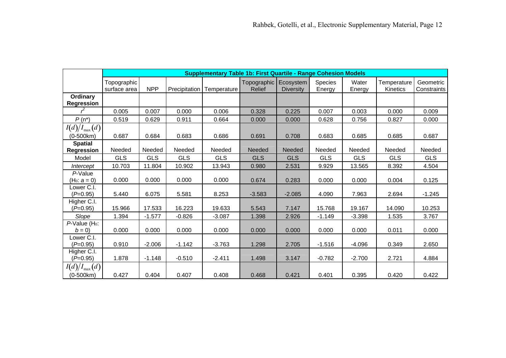|                                        |                             |            |               | <b>Supplementary Table 1b: First Quartile - Range Cohesion Models</b> |                                        |                  |                   |                 |                                |                          |
|----------------------------------------|-----------------------------|------------|---------------|-----------------------------------------------------------------------|----------------------------------------|------------------|-------------------|-----------------|--------------------------------|--------------------------|
|                                        | Topographic<br>surface area | <b>NPP</b> | Precipitation | Temperature                                                           | Topographic Ecosystem<br><b>Relief</b> | <b>Diversity</b> | Species<br>Energy | Water<br>Energy | Temperature<br><b>Kinetics</b> | Geometric<br>Constraints |
| <b>Ordinary</b><br>Regression          |                             |            |               |                                                                       |                                        |                  |                   |                 |                                |                          |
|                                        | 0.005                       | 0.007      | 0.000         | 0.006                                                                 | 0.328                                  | 0.225            | 0.007             | 0.003           | 0.000                          | 0.009                    |
| $P(n^*)$                               | 0.519                       | 0.629      | 0.911         | 0.664                                                                 | 0.000                                  | 0.000            | 0.628             | 0.756           | 0.827                          | 0.000                    |
| $I(d)/I_{\max}(d)$<br>(0-500km)        | 0.687                       | 0.684      | 0.683         | 0.686                                                                 | 0.691                                  | 0.708            | 0.683             | 0.685           | 0.685                          | 0.687                    |
| <b>Spatial</b><br><b>Regression</b>    | Needed                      | Needed     | Needed        | Needed                                                                | <b>Needed</b>                          | Needed           | Needed            | Needed          | Needed                         | Needed                   |
| Model                                  | <b>GLS</b>                  | <b>GLS</b> | <b>GLS</b>    | <b>GLS</b>                                                            | <b>GLS</b>                             | <b>GLS</b>       | <b>GLS</b>        | <b>GLS</b>      | <b>GLS</b>                     | <b>GLS</b>               |
| Intercept                              | 10.703                      | 11.804     | 10.902        | 13.943                                                                | 0.980                                  | 2.531            | 9.929             | 13.565          | 8.392                          | 4.504                    |
| P-Value<br>(H <sub>0</sub> : $a = 0$ ) | 0.000                       | 0.000      | 0.000         | 0.000                                                                 | 0.674                                  | 0.283            | 0.000             | 0.000           | 0.004                          | 0.125                    |
| Lower C.I.<br>$(P=0.95)$               | 5.440                       | 6.075      | 5.581         | 8.253                                                                 | $-3.583$                               | $-2.085$         | 4.090             | 7.963           | 2.694                          | $-1.245$                 |
| Higher C.I.<br>$(P=0.95)$              | 15.966                      | 17.533     | 16.223        | 19.633                                                                | 5.543                                  | 7.147            | 15.768            | 19.167          | 14.090                         | 10.253                   |
| Slope                                  | 1.394                       | $-1.577$   | $-0.826$      | $-3.087$                                                              | 1.398                                  | 2.926            | $-1.149$          | $-3.398$        | 1.535                          | 3.767                    |
| P-Value (H <sub>0</sub> :<br>$b=0$     | 0.000                       | 0.000      | 0.000         | 0.000                                                                 | 0.000                                  | 0.000            | 0.000             | 0.000           | 0.011                          | 0.000                    |
| Lower C.I.<br>$(P=0.95)$               | 0.910                       | $-2.006$   | $-1.142$      | $-3.763$                                                              | 1.298                                  | 2.705            | $-1.516$          | $-4.096$        | 0.349                          | 2.650                    |
| Higher C.I.<br>$(P=0.95)$              | 1.878                       | $-1.148$   | $-0.510$      | $-2.411$                                                              | 1.498                                  | 3.147            | $-0.782$          | $-2.700$        | 2.721                          | 4.884                    |
| $I(d)/I_{\max}(d)$<br>$(0-500km)$      | 0.427                       | 0.404      | 0.407         | 0.408                                                                 | 0.468                                  | 0.421            | 0.401             | 0.395           | 0.420                          | 0.422                    |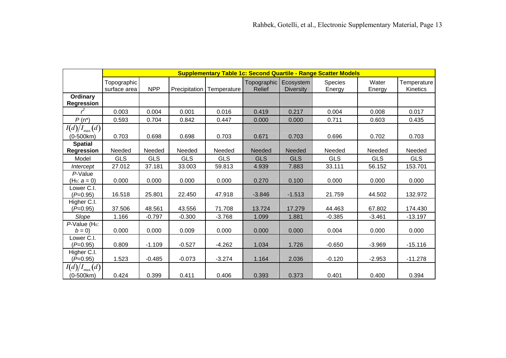|                                        |                             | <b>Supplementary Table 1c: Second Quartile - Range Scatter Models</b> |               |             |                                        |                  |                          |                 |                         |  |  |  |
|----------------------------------------|-----------------------------|-----------------------------------------------------------------------|---------------|-------------|----------------------------------------|------------------|--------------------------|-----------------|-------------------------|--|--|--|
|                                        | Topographic<br>surface area | <b>NPP</b>                                                            | Precipitation | Temperature | Topographic Ecosystem<br><b>Relief</b> | <b>Diversity</b> | <b>Species</b><br>Energy | Water<br>Energy | Temperature<br>Kinetics |  |  |  |
| <b>Ordinary</b><br><b>Regression</b>   |                             |                                                                       |               |             |                                        |                  |                          |                 |                         |  |  |  |
|                                        | 0.003                       | 0.004                                                                 | 0.001         | 0.016       | 0.419                                  | 0.217            | 0.004                    | 0.008           | 0.017                   |  |  |  |
| $P(n^*)$                               | 0.593                       | 0.704                                                                 | 0.842         | 0.447       | 0.000                                  | 0.000            | 0.711                    | 0.603           | 0.435                   |  |  |  |
| $I(d)/I_{\max}(d)$<br>(0-500km)        | 0.703                       | 0.698                                                                 | 0.698         | 0.703       | 0.671                                  | 0.703            | 0.696                    | 0.702           | 0.703                   |  |  |  |
| <b>Spatial</b><br><b>Regression</b>    | Needed                      | Needed                                                                | Needed        | Needed      | <b>Needed</b>                          | Needed           | Needed                   | Needed          | Needed                  |  |  |  |
| Model                                  | <b>GLS</b>                  | <b>GLS</b>                                                            | <b>GLS</b>    | <b>GLS</b>  | <b>GLS</b>                             | <b>GLS</b>       | <b>GLS</b>               | <b>GLS</b>      | <b>GLS</b>              |  |  |  |
| Intercept                              | 27.012                      | 37.181                                                                | 33.003        | 59.813      | 4.939                                  | 7.883            | 33.111                   | 56.152          | 153.701                 |  |  |  |
| P-Value<br>(H <sub>0</sub> : $a = 0$ ) | 0.000                       | 0.000                                                                 | 0.000         | 0.000       | 0.270                                  | 0.100            | 0.000                    | 0.000           | 0.000                   |  |  |  |
| Lower C.I.<br>$(P=0.95)$               | 16.518                      | 25.801                                                                | 22.450        | 47.918      | $-3.846$                               | $-1.513$         | 21.759                   | 44.502          | 132.972                 |  |  |  |
| Higher C.I.<br>$(P=0.95)$              | 37.506                      | 48.561                                                                | 43.556        | 71.708      | 13.724                                 | 17.279           | 44.463                   | 67.802          | 174.430                 |  |  |  |
| Slope                                  | 1.166                       | $-0.797$                                                              | $-0.300$      | $-3.768$    | 1.099                                  | 1.881            | $-0.385$                 | $-3.461$        | $-13.197$               |  |  |  |
| $P$ -Value (H <sub>0</sub> :<br>$b=0$  | 0.000                       | 0.000                                                                 | 0.009         | 0.000       | 0.000                                  | 0.000            | 0.004                    | 0.000           | 0.000                   |  |  |  |
| Lower C.I.<br>$(P=0.95)$               | 0.809                       | $-1.109$                                                              | $-0.527$      | $-4.262$    | 1.034                                  | 1.726            | $-0.650$                 | $-3.969$        | $-15.116$               |  |  |  |
| Higher C.I.<br>$(P=0.95)$              | 1.523                       | $-0.485$                                                              | $-0.073$      | $-3.274$    | 1.164                                  | 2.036            | $-0.120$                 | $-2.953$        | $-11.278$               |  |  |  |
| $I(d)/I_{\max}(d)$<br>$(0-500km)$      | 0.424                       | 0.399                                                                 | 0.411         | 0.406       | 0.393                                  | 0.373            | 0.401                    | 0.400           | 0.394                   |  |  |  |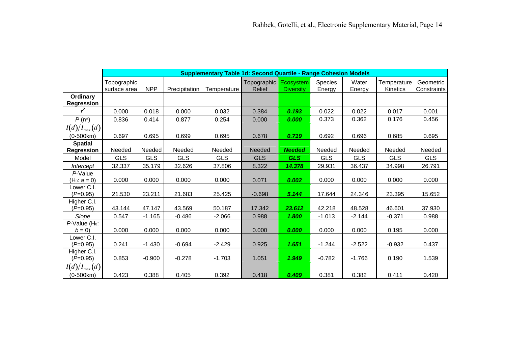|                                        |                             |            |               | <b>Supplementary Table 1d: Second Quartile - Range Cohesion Models</b> |                                        |                  |                   |                 |                         |                          |
|----------------------------------------|-----------------------------|------------|---------------|------------------------------------------------------------------------|----------------------------------------|------------------|-------------------|-----------------|-------------------------|--------------------------|
|                                        | Topographic<br>surface area | <b>NPP</b> | Precipitation | Temperature                                                            | Topographic Ecosystem<br><b>Relief</b> | <b>Diversity</b> | Species<br>Energy | Water<br>Energy | Temperature<br>Kinetics | Geometric<br>Constraints |
| Ordinary<br><b>Regression</b>          |                             |            |               |                                                                        |                                        |                  |                   |                 |                         |                          |
|                                        | 0.000                       | 0.018      | 0.000         | 0.032                                                                  | 0.384                                  | 0.193            | 0.022             | 0.022           | 0.017                   | 0.001                    |
| $P(n^*)$                               | 0.836                       | 0.414      | 0.877         | 0.254                                                                  | 0.000                                  | 0.000            | 0.373             | 0.362           | 0.176                   | 0.456                    |
| $I(d)/I_{\max}(d)$<br>$(0-500km)$      | 0.697                       | 0.695      | 0.699         | 0.695                                                                  | 0.678                                  | 0.719            | 0.692             | 0.696           | 0.685                   | 0.695                    |
| <b>Spatial</b><br><b>Regression</b>    | Needed                      | Needed     | Needed        | Needed                                                                 | Needed                                 | <b>Needed</b>    | Needed            | Needed          | Needed                  | Needed                   |
| Model                                  | <b>GLS</b>                  | <b>GLS</b> | <b>GLS</b>    | <b>GLS</b>                                                             | <b>GLS</b>                             | <b>GLS</b>       | <b>GLS</b>        | <b>GLS</b>      | <b>GLS</b>              | <b>GLS</b>               |
| Intercept                              | 32.337                      | 35.179     | 32.626        | 37.806                                                                 | 8.322                                  | 14.378           | 29.931            | 36.437          | 34.998                  | 26.791                   |
| P-Value<br>(H <sub>0</sub> : $a = 0$ ) | 0.000                       | 0.000      | 0.000         | 0.000                                                                  | 0.071                                  | 0.002            | 0.000             | 0.000           | 0.000                   | 0.000                    |
| Lower C.I.<br>$(P=0.95)$               | 21.530                      | 23.211     | 21.683        | 25.425                                                                 | $-0.698$                               | 5.144            | 17.644            | 24.346          | 23.395                  | 15.652                   |
| Higher C.I.<br>$(P=0.95)$              | 43.144                      | 47.147     | 43.569        | 50.187                                                                 | 17.342                                 | 23.612           | 42.218            | 48.528          | 46.601                  | 37.930                   |
| Slope                                  | 0.547                       | $-1.165$   | $-0.486$      | $-2.066$                                                               | 0.988                                  | 1.800            | $-1.013$          | $-2.144$        | $-0.371$                | 0.988                    |
| P-Value (H <sub>0</sub> :<br>$b=0$     | 0.000                       | 0.000      | 0.000         | 0.000                                                                  | 0.000                                  | 0.000            | 0.000             | 0.000           | 0.195                   | 0.000                    |
| Lower C.I.<br>$(P=0.95)$               | 0.241                       | $-1.430$   | $-0.694$      | $-2.429$                                                               | 0.925                                  | 1.651            | $-1.244$          | $-2.522$        | $-0.932$                | 0.437                    |
| Higher C.I.<br>$(P=0.95)$              | 0.853                       | $-0.900$   | $-0.278$      | $-1.703$                                                               | 1.051                                  | 1.949            | $-0.782$          | $-1.766$        | 0.190                   | 1.539                    |
| $I(d)/I_{\max}(d)$<br>$(0-500km)$      | 0.423                       | 0.388      | 0.405         | 0.392                                                                  | 0.418                                  | 0.409            | 0.381             | 0.382           | 0.411                   | 0.420                    |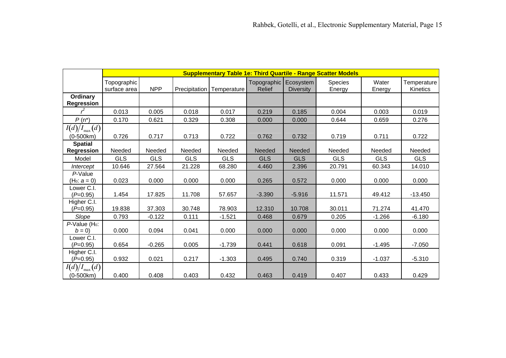|                                        |                             | <b>Supplementary Table 1e: Third Quartile - Range Scatter Models</b> |                      |             |                                        |                  |                          |                 |                         |  |  |  |  |
|----------------------------------------|-----------------------------|----------------------------------------------------------------------|----------------------|-------------|----------------------------------------|------------------|--------------------------|-----------------|-------------------------|--|--|--|--|
|                                        | Topographic<br>surface area | <b>NPP</b>                                                           | <b>Precipitation</b> | Temperature | Topographic Ecosystem<br><b>Relief</b> | <b>Diversity</b> | <b>Species</b><br>Energy | Water<br>Energy | Temperature<br>Kinetics |  |  |  |  |
| Ordinary<br><b>Regression</b>          |                             |                                                                      |                      |             |                                        |                  |                          |                 |                         |  |  |  |  |
|                                        | 0.013                       | 0.005                                                                | 0.018                | 0.017       | 0.219                                  | 0.185            | 0.004                    | 0.003           | 0.019                   |  |  |  |  |
| $P(n^*)$                               | 0.170                       | 0.621                                                                | 0.329                | 0.308       | 0.000                                  | 0.000            | 0.644                    | 0.659           | 0.276                   |  |  |  |  |
| $I(d)/I_{\max}(d)$<br>(0-500km)        | 0.726                       | 0.717                                                                | 0.713                | 0.722       | 0.762                                  | 0.732            | 0.719                    | 0.711           | 0.722                   |  |  |  |  |
| <b>Spatial</b><br><b>Regression</b>    | Needed                      | Needed                                                               | Needed               | Needed      | <b>Needed</b>                          | Needed           | Needed                   | Needed          | Needed                  |  |  |  |  |
| Model                                  | <b>GLS</b>                  | <b>GLS</b>                                                           | <b>GLS</b>           | <b>GLS</b>  | <b>GLS</b>                             | <b>GLS</b>       | <b>GLS</b>               | <b>GLS</b>      | <b>GLS</b>              |  |  |  |  |
| Intercept                              | 10.646                      | 27.564                                                               | 21.228               | 68.280      | 4.460                                  | 2.396            | 20.791                   | 60.343          | 14.010                  |  |  |  |  |
| P-Value<br>(H <sub>0</sub> : $a = 0$ ) | 0.023                       | 0.000                                                                | 0.000                | 0.000       | 0.265                                  | 0.572            | 0.000                    | 0.000           | 0.000                   |  |  |  |  |
| Lower C.I.<br>$(P=0.95)$               | 1.454                       | 17.825                                                               | 11.708               | 57.657      | $-3.390$                               | $-5.916$         | 11.571                   | 49.412          | $-13.450$               |  |  |  |  |
| Higher C.I.<br>$(P=0.95)$              | 19.838                      | 37.303                                                               | 30.748               | 78.903      | 12.310                                 | 10.708           | 30.011                   | 71.274          | 41.470                  |  |  |  |  |
| Slope                                  | 0.793                       | $-0.122$                                                             | 0.111                | $-1.521$    | 0.468                                  | 0.679            | 0.205                    | $-1.266$        | $-6.180$                |  |  |  |  |
| P-Value (H <sub>0</sub> :<br>$b = 0$   | 0.000                       | 0.094                                                                | 0.041                | 0.000       | 0.000                                  | 0.000            | 0.000                    | 0.000           | 0.000                   |  |  |  |  |
| Lower C.I.<br>$(P=0.95)$               | 0.654                       | $-0.265$                                                             | 0.005                | $-1.739$    | 0.441                                  | 0.618            | 0.091                    | $-1.495$        | $-7.050$                |  |  |  |  |
| Higher C.I.<br>$(P=0.95)$              | 0.932                       | 0.021                                                                | 0.217                | $-1.303$    | 0.495                                  | 0.740            | 0.319                    | $-1.037$        | $-5.310$                |  |  |  |  |
| $I(d)/I_{\max}(d)$<br>$(0-500km)$      | 0.400                       | 0.408                                                                | 0.403                | 0.432       | 0.463                                  | 0.419            | 0.407                    | 0.433           | 0.429                   |  |  |  |  |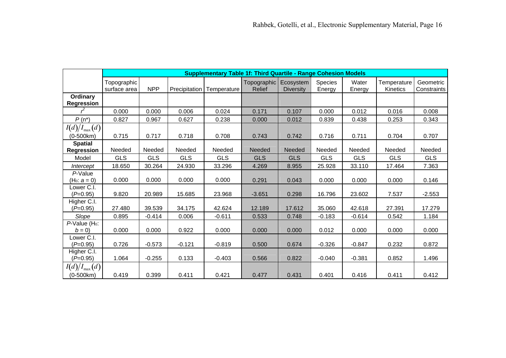|                                        |                             |            |            | <b>Supplementary Table 1f: Third Quartile - Range Cohesion Models</b> |                                          |                  |                          |                 |                         |                          |
|----------------------------------------|-----------------------------|------------|------------|-----------------------------------------------------------------------|------------------------------------------|------------------|--------------------------|-----------------|-------------------------|--------------------------|
|                                        | Topographic<br>surface area | <b>NPP</b> |            | Precipitation   Temperature                                           | Topographic   Ecosystem<br><b>Relief</b> | <b>Diversity</b> | <b>Species</b><br>Energy | Water<br>Energy | Temperature<br>Kinetics | Geometric<br>Constraints |
| <b>Ordinary</b><br>Regression          |                             |            |            |                                                                       |                                          |                  |                          |                 |                         |                          |
|                                        | 0.000                       | 0.000      | 0.006      | 0.024                                                                 | 0.171                                    | 0.107            | 0.000                    | 0.012           | 0.016                   | 0.008                    |
| $P(n^*)$                               | 0.827                       | 0.967      | 0.627      | 0.238                                                                 | 0.000                                    | 0.012            | 0.839                    | 0.438           | 0.253                   | 0.343                    |
| $I(d)/I_{\max}(d)$<br>(0-500km)        | 0.715                       | 0.717      | 0.718      | 0.708                                                                 | 0.743                                    | 0.742            | 0.716                    | 0.711           | 0.704                   | 0.707                    |
| <b>Spatial</b><br><b>Regression</b>    | Needed                      | Needed     | Needed     | Needed                                                                | Needed                                   | Needed           | Needed                   | Needed          | Needed                  | Needed                   |
| Model                                  | <b>GLS</b>                  | <b>GLS</b> | <b>GLS</b> | <b>GLS</b>                                                            | <b>GLS</b>                               | <b>GLS</b>       | <b>GLS</b>               | <b>GLS</b>      | <b>GLS</b>              | <b>GLS</b>               |
| Intercept                              | 18.650                      | 30.264     | 24.930     | 33.296                                                                | 4.269                                    | 8.955            | 25.928                   | 33.110          | 17.464                  | 7.363                    |
| P-Value<br>(H <sub>0</sub> : $a = 0$ ) | 0.000                       | 0.000      | 0.000      | 0.000                                                                 | 0.291                                    | 0.043            | 0.000                    | 0.000           | 0.000                   | 0.146                    |
| Lower C.I.<br>$(P=0.95)$               | 9.820                       | 20.989     | 15.685     | 23.968                                                                | $-3.651$                                 | 0.298            | 16.796                   | 23.602          | 7.537                   | $-2.553$                 |
| Higher C.I.<br>$(P=0.95)$              | 27.480                      | 39.539     | 34.175     | 42.624                                                                | 12.189                                   | 17.612           | 35.060                   | 42.618          | 27.391                  | 17.279                   |
| Slope                                  | 0.895                       | $-0.414$   | 0.006      | $-0.611$                                                              | 0.533                                    | 0.748            | $-0.183$                 | $-0.614$        | 0.542                   | 1.184                    |
| P-Value (H <sub>0</sub> :<br>$b = 0$   | 0.000                       | 0.000      | 0.922      | 0.000                                                                 | 0.000                                    | 0.000            | 0.012                    | 0.000           | 0.000                   | 0.000                    |
| Lower C.I.<br>$(P=0.95)$               | 0.726                       | $-0.573$   | $-0.121$   | $-0.819$                                                              | 0.500                                    | 0.674            | $-0.326$                 | $-0.847$        | 0.232                   | 0.872                    |
| Higher C.I.<br>$(P=0.95)$              | 1.064                       | $-0.255$   | 0.133      | $-0.403$                                                              | 0.566                                    | 0.822            | $-0.040$                 | $-0.381$        | 0.852                   | 1.496                    |
| $I(d)/I_{\max}(d)$<br>$(0-500km)$      | 0.419                       | 0.399      | 0.411      | 0.421                                                                 | 0.477                                    | 0.431            | 0.401                    | 0.416           | 0.411                   | 0.412                    |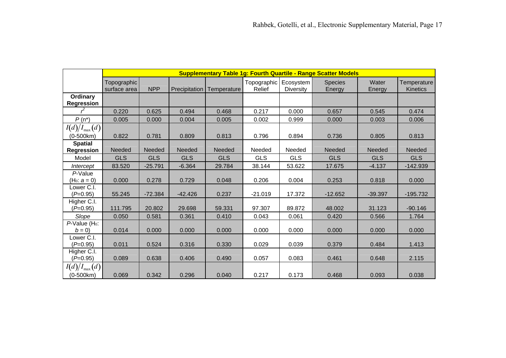|                                        |                             | <b>Supplementary Table 1g: Fourth Quartile - Range Scatter Models</b> |               |             |                                     |            |                          |                 |                                |  |  |  |  |
|----------------------------------------|-----------------------------|-----------------------------------------------------------------------|---------------|-------------|-------------------------------------|------------|--------------------------|-----------------|--------------------------------|--|--|--|--|
|                                        | Topographic<br>surface area | <b>NPP</b>                                                            | Precipitation | Temperature | Topographic   Ecosystem  <br>Relief | Diversity  | <b>Species</b><br>Energy | Water<br>Energy | Temperature<br><b>Kinetics</b> |  |  |  |  |
| Ordinary<br>Regression                 |                             |                                                                       |               |             |                                     |            |                          |                 |                                |  |  |  |  |
|                                        | 0.220                       | 0.625                                                                 | 0.494         | 0.468       | 0.217                               | 0.000      | 0.657                    | 0.545           | 0.474                          |  |  |  |  |
| $P(n^*)$                               | 0.005                       | 0.000                                                                 | 0.004         | 0.005       | 0.002                               | 0.999      | 0.000                    | 0.003           | 0.006                          |  |  |  |  |
| $I(d)/I_{\max}(d)$<br>(0-500km)        | 0.822                       | 0.781                                                                 | 0.809         | 0.813       | 0.796                               | 0.894      | 0.736                    | 0.805           | 0.813                          |  |  |  |  |
| <b>Spatial</b>                         |                             |                                                                       |               |             |                                     |            |                          |                 |                                |  |  |  |  |
| <b>Regression</b>                      | Needed                      | Needed                                                                | Needed        | Needed      | Needed                              | Needed     | Needed                   | <b>Needed</b>   | <b>Needed</b>                  |  |  |  |  |
| Model                                  | <b>GLS</b>                  | <b>GLS</b>                                                            | <b>GLS</b>    | <b>GLS</b>  | <b>GLS</b>                          | <b>GLS</b> | <b>GLS</b>               | <b>GLS</b>      | <b>GLS</b>                     |  |  |  |  |
| Intercept                              | 83.520                      | $-25.791$                                                             | $-6.364$      | 29.784      | 38.144                              | 53.622     | 17.675                   | $-4.137$        | $-142.939$                     |  |  |  |  |
| P-Value<br>(H <sub>0</sub> : $a = 0$ ) | 0.000                       | 0.278                                                                 | 0.729         | 0.048       | 0.206                               | 0.004      | 0.253                    | 0.818           | 0.000                          |  |  |  |  |
| Lower C.I.<br>$(P=0.95)$               | 55.245                      | $-72.384$                                                             | $-42.426$     | 0.237       | $-21.019$                           | 17.372     | $-12.652$                | $-39.397$       | $-195.732$                     |  |  |  |  |
| Higher C.I.<br>$(P=0.95)$              | 111.795                     | 20.802                                                                | 29.698        | 59.331      | 97.307                              | 89.872     | 48.002                   | 31.123          | $-90.146$                      |  |  |  |  |
| Slope                                  | 0.050                       | 0.581                                                                 | 0.361         | 0.410       | 0.043                               | 0.061      | 0.420                    | 0.566           | 1.764                          |  |  |  |  |
| P-Value (H <sub>0</sub> :<br>$b=0$     | 0.014                       | 0.000                                                                 | 0.000         | 0.000       | 0.000                               | 0.000      | 0.000                    | 0.000           | 0.000                          |  |  |  |  |
| Lower C.I.<br>$(P=0.95)$               | 0.011                       | 0.524                                                                 | 0.316         | 0.330       | 0.029                               | 0.039      | 0.379                    | 0.484           | 1.413                          |  |  |  |  |
| Higher C.I.<br>$(P=0.95)$              | 0.089                       | 0.638                                                                 | 0.406         | 0.490       | 0.057                               | 0.083      | 0.461                    | 0.648           | 2.115                          |  |  |  |  |
| $I(d)/I_{\max}(d)$<br>$(0-500km)$      | 0.069                       | 0.342                                                                 | 0.296         | 0.040       | 0.217                               | 0.173      | 0.468                    | 0.093           | 0.038                          |  |  |  |  |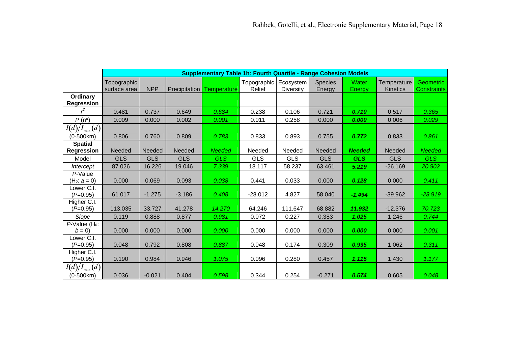|                                        |                               |            |               | <b>Supplementary Table 1h: Fourth Quartile - Range Cohesion Models</b> |                                   |                  |                          |                 |                                |                                 |
|----------------------------------------|-------------------------------|------------|---------------|------------------------------------------------------------------------|-----------------------------------|------------------|--------------------------|-----------------|--------------------------------|---------------------------------|
|                                        | Topographic  <br>surface area | <b>NPP</b> | Precipitation | Temperature                                                            | Topographic   Ecosystem<br>Relief | <b>Diversity</b> | <b>Species</b><br>Energy | Water<br>Energy | Temperature<br><b>Kinetics</b> | <b>Geometric</b><br>Constraints |
| Ordinary<br><b>Regression</b>          |                               |            |               |                                                                        |                                   |                  |                          |                 |                                |                                 |
|                                        | 0.481                         | 0.737      | 0.649         | 0.684                                                                  | 0.238                             | 0.106            | 0.721                    | 0.710           | 0.517                          | 0.365                           |
| $P(n^*)$                               | 0.009                         | 0.000      | 0.002         | 0.001                                                                  | 0.011                             | 0.258            | 0.000                    | 0.000           | 0.006                          | 0.029                           |
| $I(d)/I_{\max}(d)$<br>$(0-500km)$      | 0.806                         | 0.760      | 0.809         | 0.783                                                                  | 0.833                             | 0.893            | 0.755                    | 0.772           | 0.833                          | 0.861                           |
| <b>Spatial</b><br><b>Regression</b>    | Needed                        | Needed     | Needed        | <b>Needed</b>                                                          | Needed                            | Needed           | Needed                   | <b>Needed</b>   | Needed                         | <b>Needed</b>                   |
| Model                                  | <b>GLS</b>                    | <b>GLS</b> | <b>GLS</b>    | <b>GLS</b>                                                             | <b>GLS</b>                        | <b>GLS</b>       | <b>GLS</b>               | <b>GLS</b>      | <b>GLS</b>                     | <b>GLS</b>                      |
| Intercept                              | 87.026                        | 16.226     | 19.046        | 7.339                                                                  | 18.117                            | 58.237           | 63.461                   | 5.219           | $-26.169$                      | 20.902                          |
| P-Value<br>(H <sub>0</sub> : $a = 0$ ) | 0.000                         | 0.069      | 0.093         | 0.038                                                                  | 0.441                             | 0.033            | 0.000                    | 0.128           | 0.000                          | 0.411                           |
| Lower C.I.<br>$(P=0.95)$               | 61.017                        | $-1.275$   | $-3.186$      | 0.408                                                                  | $-28.012$                         | 4.827            | 58.040                   | $-1.494$        | $-39.962$                      | $-28.919$                       |
| Higher C.I.<br>$(P=0.95)$              | 113.035                       | 33.727     | 41.278        | 14.270                                                                 | 64.246                            | 111.647          | 68.882                   | 11.932          | $-12.376$                      | 70.723                          |
| Slope                                  | 0.119                         | 0.888      | 0.877         | 0.981                                                                  | 0.072                             | 0.227            | 0.383                    | 1.025           | 1.246                          | 0.744                           |
| P-Value (H <sub>0</sub> :<br>$b=0$     | 0.000                         | 0.000      | 0.000         | 0.000                                                                  | 0.000                             | 0.000            | 0.000                    | 0.000           | 0.000                          | 0.001                           |
| Lower C.I.<br>$(P=0.95)$               | 0.048                         | 0.792      | 0.808         | 0.887                                                                  | 0.048                             | 0.174            | 0.309                    | 0.935           | 1.062                          | 0.311                           |
| Higher C.I.<br>$(P=0.95)$              | 0.190                         | 0.984      | 0.946         | 1.075                                                                  | 0.096                             | 0.280            | 0.457                    | 1.115           | 1.430                          | 1.177                           |
| $I(d)/I_{\max}(d)$<br>$(0-500km)$      | 0.036                         | $-0.021$   | 0.404         | 0.598                                                                  | 0.344                             | 0.254            | $-0.271$                 | 0.574           | 0.605                          | 0.048                           |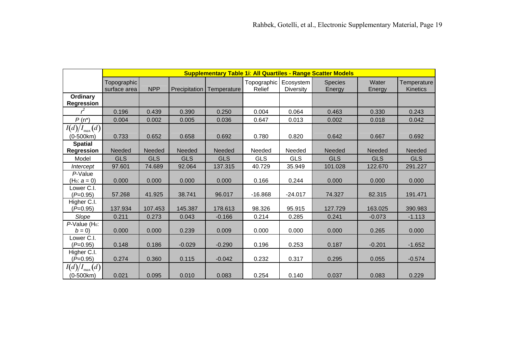|                                        |                             | <b>Supplementary Table 1i: All Quartiles - Range Scatter Models</b> |               |             |                                     |                  |                          |                 |                                |  |  |  |  |
|----------------------------------------|-----------------------------|---------------------------------------------------------------------|---------------|-------------|-------------------------------------|------------------|--------------------------|-----------------|--------------------------------|--|--|--|--|
|                                        | Topographic<br>surface area | <b>NPP</b>                                                          | Precipitation | Temperature | Topographic   Ecosystem  <br>Relief | <b>Diversity</b> | <b>Species</b><br>Energy | Water<br>Energy | Temperature<br><b>Kinetics</b> |  |  |  |  |
| Ordinary<br><b>Regression</b>          |                             |                                                                     |               |             |                                     |                  |                          |                 |                                |  |  |  |  |
|                                        | 0.196                       | 0.439                                                               | 0.390         | 0.250       | 0.004                               | 0.064            | 0.463                    | 0.330           | 0.243                          |  |  |  |  |
| $P(n^*)$                               | 0.004                       | 0.002                                                               | 0.005         | 0.036       | 0.647                               | 0.013            | 0.002                    | 0.018           | 0.042                          |  |  |  |  |
| $I(d)/I_{\max}(d)$<br>(0-500km)        | 0.733                       | 0.652                                                               | 0.658         | 0.692       | 0.780                               | 0.820            | 0.642                    | 0.667           | 0.692                          |  |  |  |  |
| <b>Spatial</b><br><b>Regression</b>    | Needed                      | Needed                                                              | Needed        | Needed      | Needed                              | Needed           | Needed                   | <b>Needed</b>   | <b>Needed</b>                  |  |  |  |  |
| Model                                  | <b>GLS</b>                  | <b>GLS</b>                                                          | <b>GLS</b>    | <b>GLS</b>  | <b>GLS</b>                          | <b>GLS</b>       | <b>GLS</b>               | <b>GLS</b>      | <b>GLS</b>                     |  |  |  |  |
| Intercept                              | 97.601                      | 74.689                                                              | 92.064        | 137.315     | 40.729                              | 35.949           | 101.028                  | 122.670         | 291.227                        |  |  |  |  |
| P-Value<br>(H <sub>0</sub> : $a = 0$ ) | 0.000                       | 0.000                                                               | 0.000         | 0.000       | 0.166                               | 0.244            | 0.000                    | 0.000           | 0.000                          |  |  |  |  |
| Lower C.I.<br>$(P=0.95)$               | 57.268                      | 41.925                                                              | 38.741        | 96.017      | $-16.868$                           | $-24.017$        | 74.327                   | 82.315          | 191.471                        |  |  |  |  |
| Higher C.I.<br>$(P=0.95)$              | 137.934                     | 107.453                                                             | 145.387       | 178.613     | 98.326                              | 95.915           | 127.729                  | 163.025         | 390.983                        |  |  |  |  |
| Slope                                  | 0.211                       | 0.273                                                               | 0.043         | $-0.166$    | 0.214                               | 0.285            | 0.241                    | $-0.073$        | $-1.113$                       |  |  |  |  |
| $P$ -Value (H <sub>0</sub> :<br>$b=0$  | 0.000                       | 0.000                                                               | 0.239         | 0.009       | 0.000                               | 0.000            | 0.000                    | 0.265           | 0.000                          |  |  |  |  |
| Lower C.I.<br>$(P=0.95)$               | 0.148                       | 0.186                                                               | $-0.029$      | $-0.290$    | 0.196                               | 0.253            | 0.187                    | $-0.201$        | $-1.652$                       |  |  |  |  |
| Higher C.I.<br>$(P=0.95)$              | 0.274                       | 0.360                                                               | 0.115         | $-0.042$    | 0.232                               | 0.317            | 0.295                    | 0.055           | $-0.574$                       |  |  |  |  |
| $I(d)/I_{\max}(d)$<br>$(0-500km)$      | 0.021                       | 0.095                                                               | 0.010         | 0.083       | 0.254                               | 0.140            | 0.037                    | 0.083           | 0.229                          |  |  |  |  |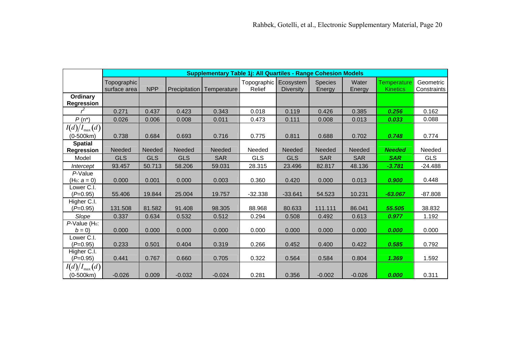|                                      |                               |               |                      | <b>Supplementary Table 1. All Quartiles - Range Cohesion Models</b> |                                 |                  |                          |                 |                                       |                          |
|--------------------------------------|-------------------------------|---------------|----------------------|---------------------------------------------------------------------|---------------------------------|------------------|--------------------------|-----------------|---------------------------------------|--------------------------|
|                                      | Topographic  <br>surface area | <b>NPP</b>    | <b>Precipitation</b> | Temperature                                                         | Topographic Ecosystem<br>Relief | <b>Diversity</b> | <b>Species</b><br>Energy | Water<br>Energy | <b>Temperature</b><br><b>Kinetics</b> | Geometric<br>Constraints |
| Ordinary<br><b>Regression</b>        |                               |               |                      |                                                                     |                                 |                  |                          |                 |                                       |                          |
|                                      | 0.271                         | 0.437         | 0.423                | 0.343                                                               | 0.018                           | 0.119            | 0.426                    | 0.385           | 0.256                                 | 0.162                    |
| $P(n^*)$                             | 0.026                         | 0.006         | 0.008                | 0.011                                                               | 0.473                           | 0.111            | 0.008                    | 0.013           | 0.033                                 | 0.088                    |
| $I(d)/I_{\max}(d)$                   |                               |               |                      |                                                                     |                                 |                  |                          |                 |                                       |                          |
| $(0-500km)$                          | 0.738                         | 0.684         | 0.693                | 0.716                                                               | 0.775                           | 0.811            | 0.688                    | 0.702           | 0.748                                 | 0.774                    |
| <b>Spatial</b><br><b>Regression</b>  | <b>Needed</b>                 | <b>Needed</b> | Needed               | <b>Needed</b>                                                       | Needed                          | Needed           | <b>Needed</b>            | Needed          | <b>Needed</b>                         | Needed                   |
| Model                                | <b>GLS</b>                    | <b>GLS</b>    | <b>GLS</b>           | <b>SAR</b>                                                          | <b>GLS</b>                      | <b>GLS</b>       | <b>SAR</b>               | <b>SAR</b>      | <b>SAR</b>                            | <b>GLS</b>               |
| Intercept                            | 93.457                        | 50.713        | 58.206               | 59.031                                                              | 28.315                          | 23.496           | 82.817                   | 48.136          | $-3.781$                              | $-24.488$                |
| P-Value<br>$(H_0: a = 0)$            | 0.000                         | 0.001         | 0.000                | 0.003                                                               | 0.360                           | 0.420            | 0.000                    | 0.013           | 0.900                                 | 0.448                    |
| Lower C.I.<br>$(P=0.95)$             | 55.406                        | 19.844        | 25.004               | 19.757                                                              | $-32.338$                       | $-33.641$        | 54.523                   | 10.231          | $-63.067$                             | $-87.808$                |
| Higher C.I.<br>$(P=0.95)$            | 131.508                       | 81.582        | 91.408               | 98.305                                                              | 88.968                          | 80.633           | 111.111                  | 86.041          | 55.505                                | 38.832                   |
| Slope                                | 0.337                         | 0.634         | 0.532                | 0.512                                                               | 0.294                           | 0.508            | 0.492                    | 0.613           | 0.977                                 | 1.192                    |
| P-Value (H <sub>0</sub> :<br>$b = 0$ | 0.000                         | 0.000         | 0.000                | 0.000                                                               | 0.000                           | 0.000            | 0.000                    | 0.000           | 0.000                                 | 0.000                    |
| Lower C.I.<br>$(P=0.95)$             | 0.233                         | 0.501         | 0.404                | 0.319                                                               | 0.266                           | 0.452            | 0.400                    | 0.422           | 0.585                                 | 0.792                    |
| Higher C.I.<br>$(P=0.95)$            | 0.441                         | 0.767         | 0.660                | 0.705                                                               | 0.322                           | 0.564            | 0.584                    | 0.804           | 1.369                                 | 1.592                    |
| $I(d)/I_{\max}(d)$<br>$(0-500km)$    | $-0.026$                      | 0.009         | $-0.032$             | $-0.024$                                                            | 0.281                           | 0.356            | $-0.002$                 | $-0.026$        | 0.000                                 | 0.311                    |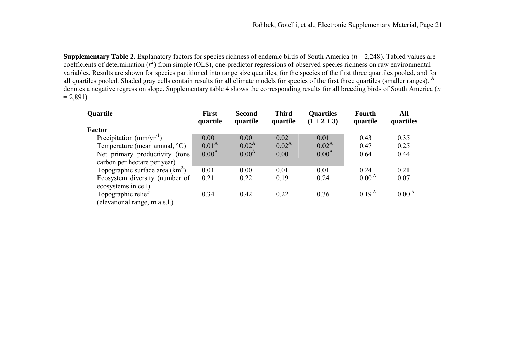**Supplementary Table 2.** Explanatory factors for species richness of endemic birds of South America ( *<sup>n</sup>* = 2,248). Tabled values are coefficients of determination  $(r^2)$  from simple (OLS), one-predictor regressions of observed species richness on raw environmental variables. Results are shown for species partitioned into range size quartiles, for the species of the first three quartiles pooled, and for all quartiles pooled. Shaded gray cells contain results for all climate models for species of the first three quartiles (smaller ranges). <sup>A</sup> denotes a negative regression slope. Supplementary table 4 shows the corresponding results for all breeding birds of South America ( *n*  $= 2,891$ ).

| <b>Quartile</b>                         | <b>First</b>      | <b>Second</b>  | <b>Third</b> | <b>Quartiles</b>  | <b>Fourth</b>     | All               |
|-----------------------------------------|-------------------|----------------|--------------|-------------------|-------------------|-------------------|
|                                         | quartile          | quartile       | quartile     | $(1 + 2 + 3)$     | quartile          | quartiles         |
| Factor                                  |                   |                |              |                   |                   |                   |
| Precipitation $(mm/yr^{-1})$            | 0.00              | 0.00           | 0.02         | 0.01              | 0.43              | 0.35              |
| Temperature (mean annual, $^{\circ}$ C) | 0.01 <sup>A</sup> | $0.02^{\rm A}$ | $0.02^{A}$   | $0.02^{A}$        | 0.47              | 0.25              |
| Net primary productivity (tons          | 0.00 <sup>A</sup> | $0.00^{A}$     | 0.00         | 0.00 <sup>A</sup> | 0.64              | 0.44              |
| carbon per hectare per year)            |                   |                |              |                   |                   |                   |
| Topographic surface area $(km^2)$       | 0.01              | 0.00           | 0.01         | 0.01              | 0.24              | 0.21              |
| Ecosystem diversity (number of          | 0.21              | 0.22           | 0.19         | 0.24              | 0.00 <sup>A</sup> | 0.07              |
| ecosystems in cell)                     |                   |                |              |                   |                   |                   |
| Topographic relief                      | 0.34              | 0.42           | 0.22         | 0.36              | 0.19 <sup>A</sup> | 0.00 <sup>A</sup> |
| (elevational range, m a.s.l.)           |                   |                |              |                   |                   |                   |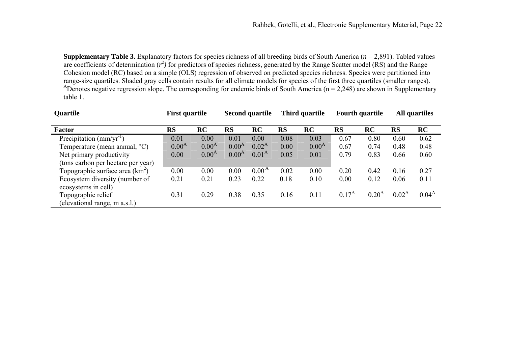**Supplementary Table 3.** Explanatory factors for species richness of all breeding birds of South America ( *<sup>n</sup>* = 2,891). Tabled values are coefficients of determination  $(r^2)$  for predictors of species richness, generated by the Range Scatter model (RS) and the Range Cohesion model (RC) based on a simple (OLS) regression of observed on predicted species richness. Species were partitioned into range-size quartiles. Shaded gray cells contain results for all climate models for species of the first three quartiles (smaller ranges). <sup>A</sup>Denotes negative regression slope. The corresponding for endemic birds of South America (n = 2,248) are shown in Supplementary table 1.

| Quartile                                              | <b>First quartile</b> |                | <b>Second quartile</b> |                | Third quartile |            | <b>Fourth quartile</b> |                   | <b>All quartiles</b> |            |
|-------------------------------------------------------|-----------------------|----------------|------------------------|----------------|----------------|------------|------------------------|-------------------|----------------------|------------|
| <b>Factor</b>                                         | <b>RS</b>             | RC             | <b>RS</b>              | RC             | <b>RS</b>      | RC         | <b>RS</b>              | RC                | <b>RS</b>            | RC         |
| Precipitation $\text{(mm/yr}^{-1})$                   | 0.01                  | 0.00           | 0.01                   | 0.00           | 0.08           | 0.03       | 0.67                   | 0.80              | 0.60                 | 0.62       |
| Temperature (mean annual, $^{\circ}C$ )               | $0.00^{A}$            | $0.00^{\rm A}$ | $0.00^{\rm A}$         | $0.02^{A}$     | 0.00           | $0.00^{A}$ | 0.67                   | 0.74              | 0.48                 | 0.48       |
| Net primary productivity                              | 0.00                  | $0.00^{A}$     | $0.00^{A}$             | $0.01^{A}$     | 0.05           | 0.01       | 0.79                   | 0.83              | 0.66                 | 0.60       |
| (tons carbon per hectare per year)                    |                       |                |                        |                |                |            |                        |                   |                      |            |
| Topographic surface area $(km^2)$                     | 0.00                  | 0.00           | 0.00                   | $0.00^{\rm A}$ | 0.02           | 0.00       | 0.20                   | 0.42              | 0.16                 | 0.27       |
| Ecosystem diversity (number of<br>ecosystems in cell) | 0.21                  | 0.21           | 0.23                   | 0.22           | 0.18           | 0.10       | 0.00                   | 0.12              | 0.06                 | 0.11       |
| Topographic relief<br>(elevational range, m a.s.l.)   | 0.31                  | 0.29           | 0.38                   | 0.35           | 0.16           | 0.11       | $0.17^{\rm A}$         | 0.20 <sup>A</sup> | $0.02^{\rm A}$       | $0.04^{A}$ |